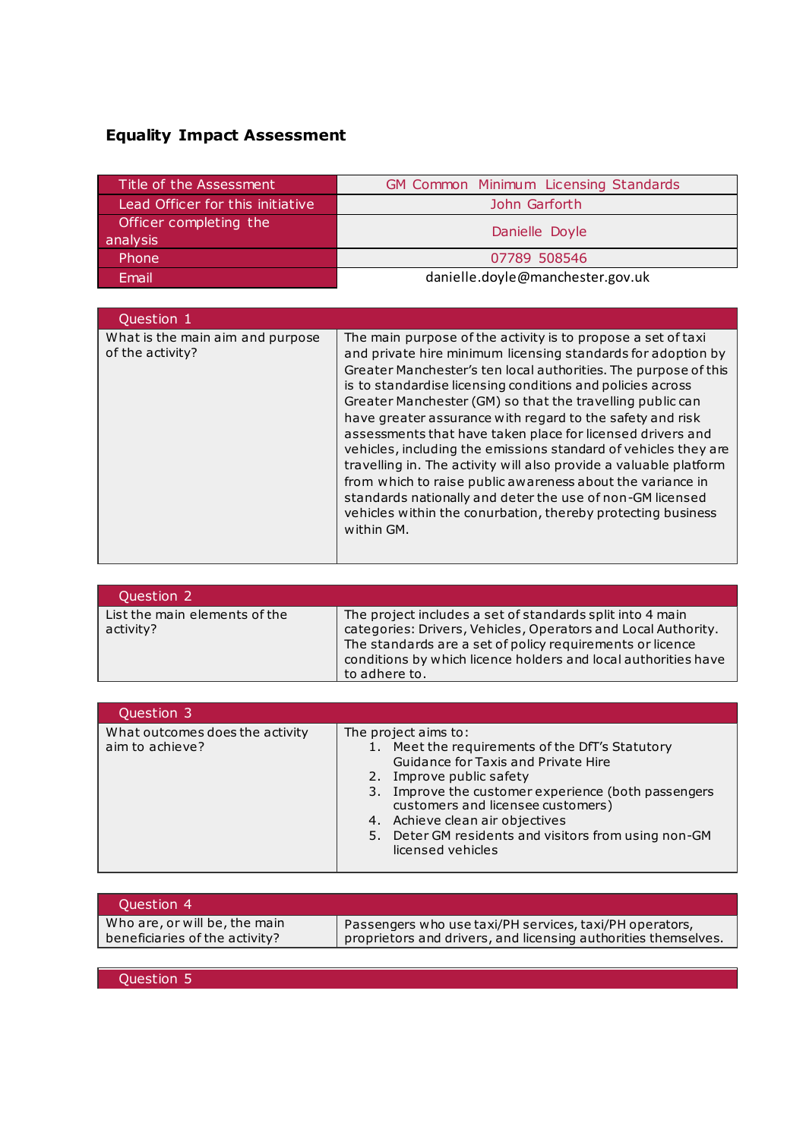## **Equality Impact Assessment**

| Title of the Assessment            | <b>GM Common Minimum Licensing Standards</b> |
|------------------------------------|----------------------------------------------|
| Lead Officer for this initiative   | John Garforth                                |
| Officer completing the<br>analysis | Danielle Doyle                               |
| Phone                              | 07789 508546                                 |
| Email                              | danielle.doyle@manchester.gov.uk             |

| Question 1                                           |                                                                                                                                                                                                                                                                                                                                                                                                                                                                                                                                                                                                                                                                                                                                                                                                        |
|------------------------------------------------------|--------------------------------------------------------------------------------------------------------------------------------------------------------------------------------------------------------------------------------------------------------------------------------------------------------------------------------------------------------------------------------------------------------------------------------------------------------------------------------------------------------------------------------------------------------------------------------------------------------------------------------------------------------------------------------------------------------------------------------------------------------------------------------------------------------|
| What is the main aim and purpose<br>of the activity? | The main purpose of the activity is to propose a set of taxi<br>and private hire minimum licensing standards for adoption by<br>Greater Manchester's ten local authorities. The purpose of this<br>is to standardise licensing conditions and policies across<br>Greater Manchester (GM) so that the travelling public can<br>have greater assurance with regard to the safety and risk<br>assessments that have taken place for licensed drivers and<br>vehicles, including the emissions standard of vehicles they are<br>travelling in. The activity will also provide a valuable platform<br>from which to raise public awareness about the variance in<br>standards nationally and deter the use of non-GM licensed<br>vehicles within the conurbation, thereby protecting business<br>within GM. |

| Question 2                                 |                                                                                                                                                                                                                                                                            |
|--------------------------------------------|----------------------------------------------------------------------------------------------------------------------------------------------------------------------------------------------------------------------------------------------------------------------------|
| List the main elements of the<br>activity? | The project includes a set of standards split into 4 main<br>categories: Drivers, Vehicles, Operators and Local Authority.<br>The standards are a set of policy requirements or licence<br>conditions by which licence holders and local authorities have<br>to adhere to. |

| Question 3                                         |                                                                                                                                                                                                                                                                                                                                                        |
|----------------------------------------------------|--------------------------------------------------------------------------------------------------------------------------------------------------------------------------------------------------------------------------------------------------------------------------------------------------------------------------------------------------------|
| What outcomes does the activity<br>aim to achieve? | The project aims to:<br>1. Meet the requirements of the DfT's Statutory<br>Guidance for Taxis and Private Hire<br>2. Improve public safety<br>3. Improve the customer experience (both passengers<br>customers and licensee customers)<br>4. Achieve clean air objectives<br>5. Deter GM residents and visitors from using non-GM<br>licensed vehicles |

| Who are, or will be, the main<br>Passengers who use taxi/PH services, taxi/PH operators, | Ouestion 4                     |                                                                |
|------------------------------------------------------------------------------------------|--------------------------------|----------------------------------------------------------------|
|                                                                                          | beneficiaries of the activity? | proprietors and drivers, and licensing authorities themselves. |

Question 5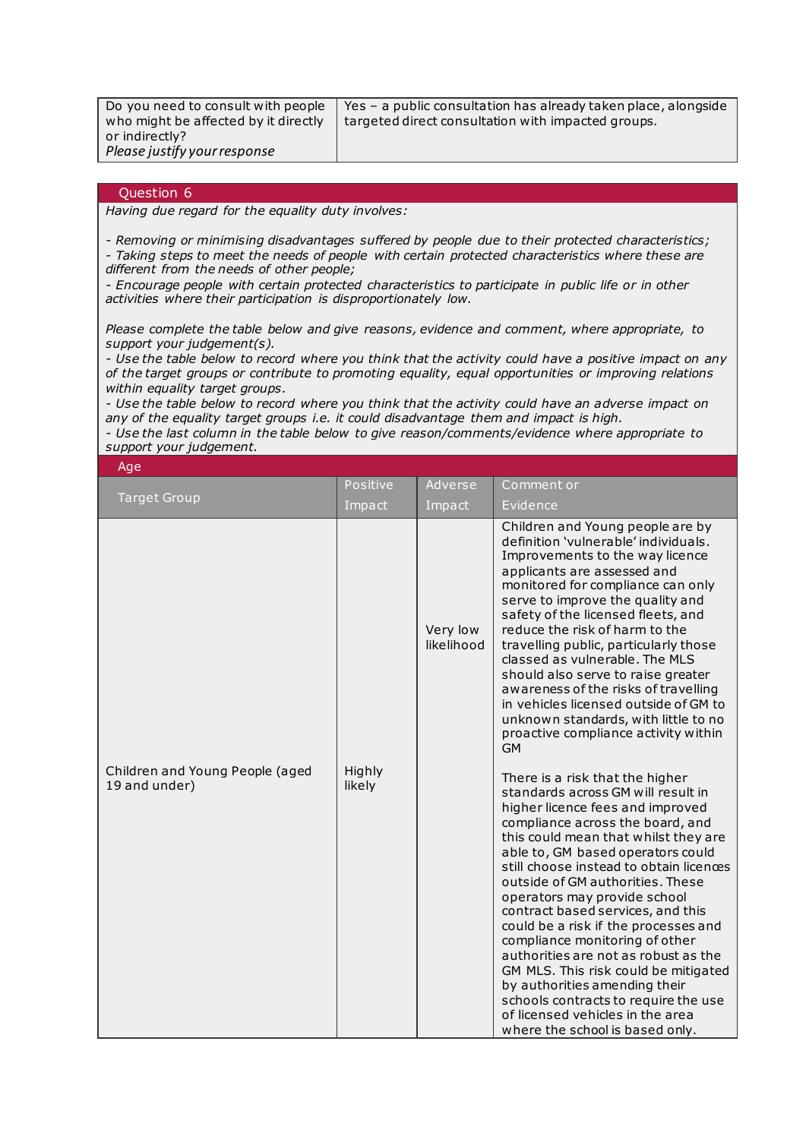| Do you need to consult with people   | Yes - a public consultation has already taken place, alongside |
|--------------------------------------|----------------------------------------------------------------|
| who might be affected by it directly | targeted direct consultation with impacted groups.             |
| or indirectly?                       |                                                                |
| Please justify your response         |                                                                |

## Question 6

*Having due regard for the equality duty involves:*

*- Removing or minimising disadvantages suffered by people due to their protected characteristics; - Taking steps to meet the needs of people with certain protected characteristics where these are* 

*different from the needs of other people;*

*- Encourage people with certain protected characteristics to participate in public life or in other activities where their participation is disproportionately low.*

*Please complete the table below and give reasons, evidence and comment, where appropriate, to support your judgement(s).*

*- Use the table below to record where you think that the activity could have a positive impact on any of the target groups or contribute to promoting equality, equal opportunities or improving relations within equality target groups.*

*- Use the table below to record where you think that the activity could have an adverse impact on any of the equality target groups i.e. it could disadvantage them and impact is high.* 

*- Use the last column in the table below to give reason/comments/evidence where appropriate to support your judgement.*

| Age                                              |                  |                        |                                                                                                                                                                                                                                                                                                                                                                                                                                                                                                                                                                                                                                                                                                                                                                                                                                                                                                                                                                                                                                                                                                                                                                                                                                                                                        |
|--------------------------------------------------|------------------|------------------------|----------------------------------------------------------------------------------------------------------------------------------------------------------------------------------------------------------------------------------------------------------------------------------------------------------------------------------------------------------------------------------------------------------------------------------------------------------------------------------------------------------------------------------------------------------------------------------------------------------------------------------------------------------------------------------------------------------------------------------------------------------------------------------------------------------------------------------------------------------------------------------------------------------------------------------------------------------------------------------------------------------------------------------------------------------------------------------------------------------------------------------------------------------------------------------------------------------------------------------------------------------------------------------------|
|                                                  | Positive         | Adverse                | Comment or                                                                                                                                                                                                                                                                                                                                                                                                                                                                                                                                                                                                                                                                                                                                                                                                                                                                                                                                                                                                                                                                                                                                                                                                                                                                             |
| <b>Target Group</b>                              | Impact           | Impact                 | Evidence                                                                                                                                                                                                                                                                                                                                                                                                                                                                                                                                                                                                                                                                                                                                                                                                                                                                                                                                                                                                                                                                                                                                                                                                                                                                               |
| Children and Young People (aged<br>19 and under) | Highly<br>likely | Very low<br>likelihood | Children and Young people are by<br>definition 'vulnerable' individuals.<br>Improvements to the way licence<br>applicants are assessed and<br>monitored for compliance can only<br>serve to improve the quality and<br>safety of the licensed fleets, and<br>reduce the risk of harm to the<br>travelling public, particularly those<br>classed as vulnerable. The MLS<br>should also serve to raise greater<br>awareness of the risks of travelling<br>in vehicles licensed outside of GM to<br>unknown standards, with little to no<br>proactive compliance activity within<br><b>GM</b><br>There is a risk that the higher<br>standards across GM will result in<br>higher licence fees and improved<br>compliance across the board, and<br>this could mean that whilst they are<br>able to, GM based operators could<br>still choose instead to obtain licences<br>outside of GM authorities. These<br>operators may provide school<br>contract based services, and this<br>could be a risk if the processes and<br>compliance monitoring of other<br>authorities are not as robust as the<br>GM MLS. This risk could be mitigated<br>by authorities amending their<br>schools contracts to require the use<br>of licensed vehicles in the area<br>where the school is based only. |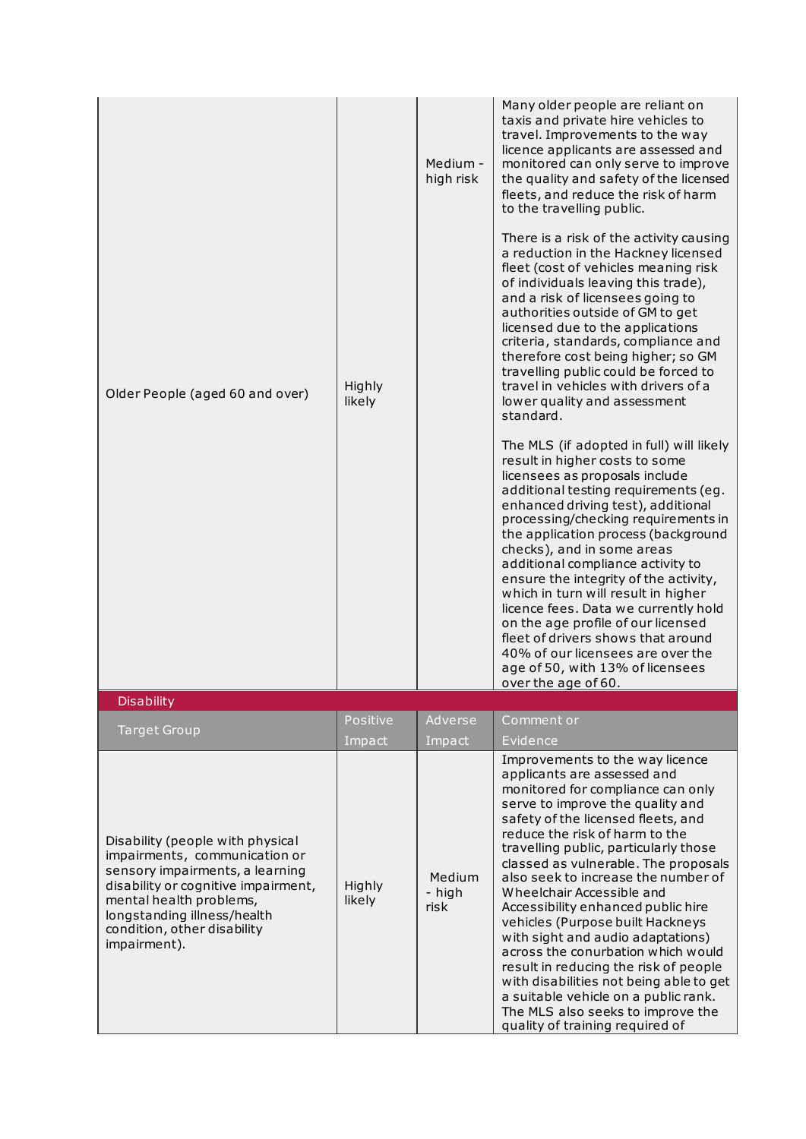| Older People (aged 60 and over)                                                                                                                                                                                                                      | Highly<br>likely | Medium -<br>high risk    | Many older people are reliant on<br>taxis and private hire vehicles to<br>travel. Improvements to the way<br>licence applicants are assessed and<br>monitored can only serve to improve<br>the quality and safety of the licensed<br>fleets, and reduce the risk of harm<br>to the travelling public.<br>There is a risk of the activity causing<br>a reduction in the Hackney licensed<br>fleet (cost of vehicles meaning risk<br>of individuals leaving this trade),<br>and a risk of licensees going to<br>authorities outside of GM to get<br>licensed due to the applications<br>criteria, standards, compliance and<br>therefore cost being higher; so GM<br>travelling public could be forced to<br>travel in vehicles with drivers of a<br>lower quality and assessment<br>standard.<br>The MLS (if adopted in full) will likely<br>result in higher costs to some<br>licensees as proposals include<br>additional testing requirements (eg.<br>enhanced driving test), additional<br>processing/checking requirements in<br>the application process (background<br>checks), and in some areas<br>additional compliance activity to<br>ensure the integrity of the activity,<br>which in turn will result in higher<br>licence fees. Data we currently hold<br>on the age profile of our licensed<br>fleet of drivers shows that around<br>40% of our licensees are over the<br>age of 50, with 13% of licensees<br>over the age of 60. |
|------------------------------------------------------------------------------------------------------------------------------------------------------------------------------------------------------------------------------------------------------|------------------|--------------------------|-------------------------------------------------------------------------------------------------------------------------------------------------------------------------------------------------------------------------------------------------------------------------------------------------------------------------------------------------------------------------------------------------------------------------------------------------------------------------------------------------------------------------------------------------------------------------------------------------------------------------------------------------------------------------------------------------------------------------------------------------------------------------------------------------------------------------------------------------------------------------------------------------------------------------------------------------------------------------------------------------------------------------------------------------------------------------------------------------------------------------------------------------------------------------------------------------------------------------------------------------------------------------------------------------------------------------------------------------------------------------------------------------------------------------------------------------|
| <b>Disability</b>                                                                                                                                                                                                                                    |                  |                          |                                                                                                                                                                                                                                                                                                                                                                                                                                                                                                                                                                                                                                                                                                                                                                                                                                                                                                                                                                                                                                                                                                                                                                                                                                                                                                                                                                                                                                                 |
|                                                                                                                                                                                                                                                      | Positive         | Adverse                  | Comment or                                                                                                                                                                                                                                                                                                                                                                                                                                                                                                                                                                                                                                                                                                                                                                                                                                                                                                                                                                                                                                                                                                                                                                                                                                                                                                                                                                                                                                      |
| <b>Target Group</b>                                                                                                                                                                                                                                  | Impact           | Impact                   | Evidence                                                                                                                                                                                                                                                                                                                                                                                                                                                                                                                                                                                                                                                                                                                                                                                                                                                                                                                                                                                                                                                                                                                                                                                                                                                                                                                                                                                                                                        |
| Disability (people with physical<br>impairments, communication or<br>sensory impairments, a learning<br>disability or cognitive impairment,<br>mental health problems,<br>longstanding illness/health<br>condition, other disability<br>impairment). | Highly<br>likely | Medium<br>- high<br>risk | Improvements to the way licence<br>applicants are assessed and<br>monitored for compliance can only<br>serve to improve the quality and<br>safety of the licensed fleets, and<br>reduce the risk of harm to the<br>travelling public, particularly those<br>classed as vulnerable. The proposals<br>also seek to increase the number of<br>Wheelchair Accessible and<br>Accessibility enhanced public hire<br>vehicles (Purpose built Hackneys<br>with sight and audio adaptations)<br>across the conurbation which would<br>result in reducing the risk of people<br>with disabilities not being able to get<br>a suitable vehicle on a public rank.<br>The MLS also seeks to improve the<br>quality of training required of                                                                                                                                                                                                                                                                                                                                                                                                                                                                                                                                                                                                                                                                                                                   |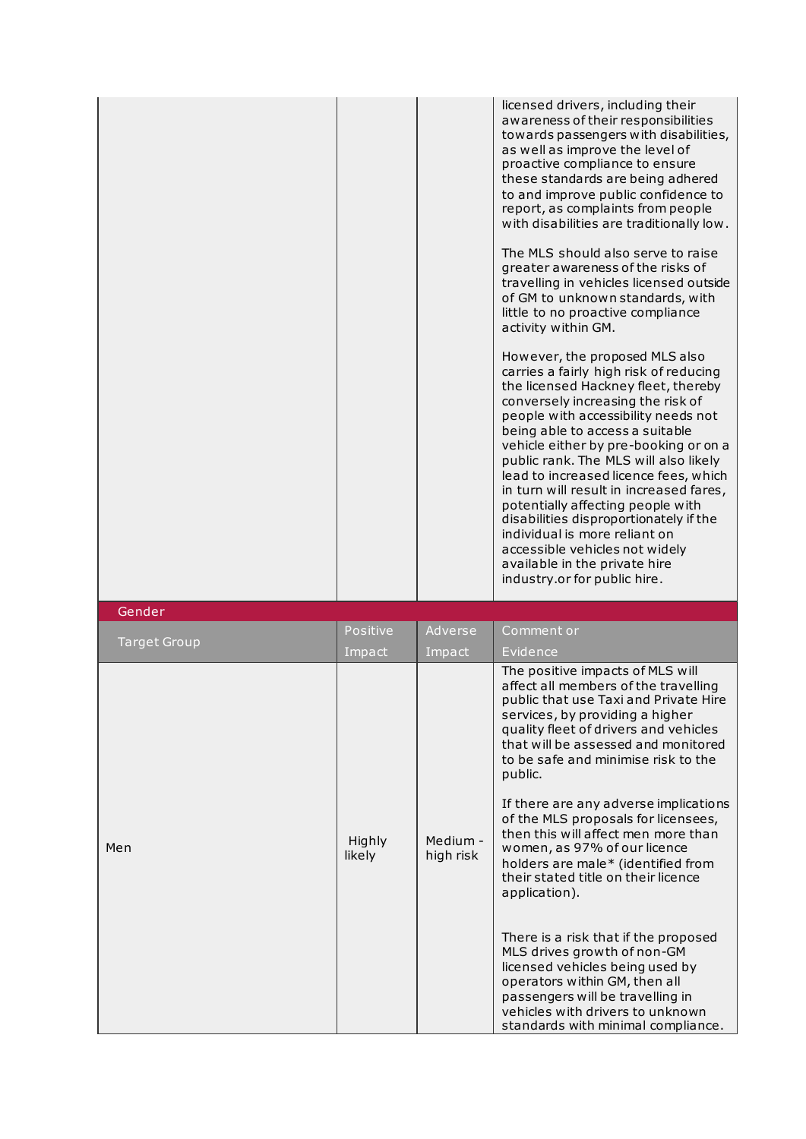|  | licensed drivers, including their<br>awareness of their responsibilities<br>towards passengers with disabilities,<br>as well as improve the level of<br>proactive compliance to ensure<br>these standards are being adhered<br>to and improve public confidence to<br>report, as complaints from people<br>with disabilities are traditionally low.<br>The MLS should also serve to raise<br>greater awareness of the risks of<br>travelling in vehicles licensed outside<br>of GM to unknown standards, with                                                                                                           |
|--|-------------------------------------------------------------------------------------------------------------------------------------------------------------------------------------------------------------------------------------------------------------------------------------------------------------------------------------------------------------------------------------------------------------------------------------------------------------------------------------------------------------------------------------------------------------------------------------------------------------------------|
|  | little to no proactive compliance<br>activity within GM.                                                                                                                                                                                                                                                                                                                                                                                                                                                                                                                                                                |
|  | However, the proposed MLS also<br>carries a fairly high risk of reducing<br>the licensed Hackney fleet, thereby<br>conversely increasing the risk of<br>people with accessibility needs not<br>being able to access a suitable<br>vehicle either by pre-booking or on a<br>public rank. The MLS will also likely<br>lead to increased licence fees, which<br>in turn will result in increased fares,<br>potentially affecting people with<br>disabilities disproportionately if the<br>individual is more reliant on<br>accessible vehicles not widely<br>available in the private hire<br>industry.or for public hire. |

| Gender              |                  |                       |                                                                                                                                                                                                                                                                                                                                                                                                                                                                                                                                                                                                                                                                                                                                                                                                      |
|---------------------|------------------|-----------------------|------------------------------------------------------------------------------------------------------------------------------------------------------------------------------------------------------------------------------------------------------------------------------------------------------------------------------------------------------------------------------------------------------------------------------------------------------------------------------------------------------------------------------------------------------------------------------------------------------------------------------------------------------------------------------------------------------------------------------------------------------------------------------------------------------|
|                     | Positive         | Adverse               | Comment or                                                                                                                                                                                                                                                                                                                                                                                                                                                                                                                                                                                                                                                                                                                                                                                           |
| <b>Target Group</b> | Impact           | Impact                | Evidence                                                                                                                                                                                                                                                                                                                                                                                                                                                                                                                                                                                                                                                                                                                                                                                             |
| Men                 | Highly<br>likely | Medium -<br>high risk | The positive impacts of MLS will<br>affect all members of the travelling<br>public that use Taxi and Private Hire<br>services, by providing a higher<br>quality fleet of drivers and vehicles<br>that will be assessed and monitored<br>to be safe and minimise risk to the<br>public.<br>If there are any adverse implications<br>of the MLS proposals for licensees,<br>then this will affect men more than<br>women, as 97% of our licence<br>holders are male* (identified from<br>their stated title on their licence<br>application).<br>There is a risk that if the proposed<br>MLS drives growth of non-GM<br>licensed vehicles being used by<br>operators within GM, then all<br>passengers will be travelling in<br>vehicles with drivers to unknown<br>standards with minimal compliance. |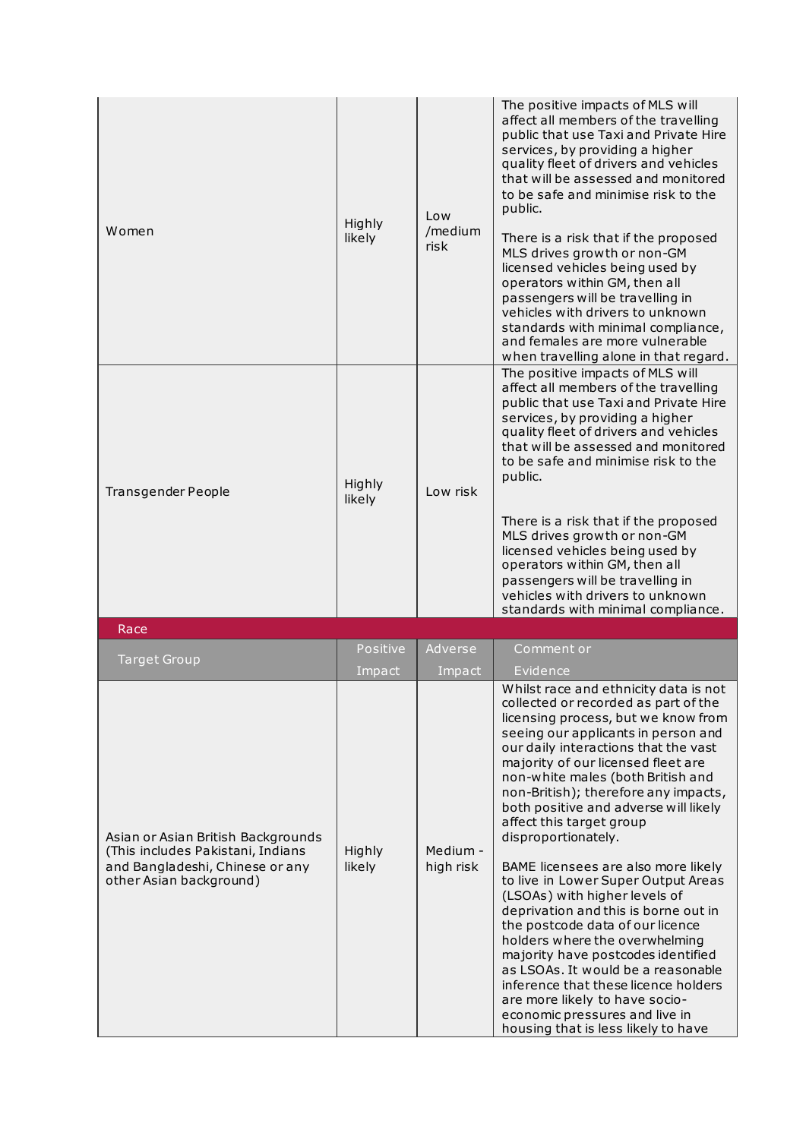| Women                                                                                                                                 | Highly<br>likely   | Low<br>/medium<br>risk | The positive impacts of MLS will<br>affect all members of the travelling<br>public that use Taxi and Private Hire<br>services, by providing a higher<br>quality fleet of drivers and vehicles<br>that will be assessed and monitored<br>to be safe and minimise risk to the<br>public.<br>There is a risk that if the proposed<br>MLS drives growth or non-GM<br>licensed vehicles being used by<br>operators within GM, then all<br>passengers will be travelling in<br>vehicles with drivers to unknown<br>standards with minimal compliance,<br>and females are more vulnerable<br>when travelling alone in that regard.                                                                                                                                                                                                                                                    |
|---------------------------------------------------------------------------------------------------------------------------------------|--------------------|------------------------|--------------------------------------------------------------------------------------------------------------------------------------------------------------------------------------------------------------------------------------------------------------------------------------------------------------------------------------------------------------------------------------------------------------------------------------------------------------------------------------------------------------------------------------------------------------------------------------------------------------------------------------------------------------------------------------------------------------------------------------------------------------------------------------------------------------------------------------------------------------------------------|
| Transgender People                                                                                                                    | Highly<br>likely   | Low risk               | The positive impacts of MLS will<br>affect all members of the travelling<br>public that use Taxi and Private Hire<br>services, by providing a higher<br>quality fleet of drivers and vehicles<br>that will be assessed and monitored<br>to be safe and minimise risk to the<br>public.<br>There is a risk that if the proposed<br>MLS drives growth or non-GM<br>licensed vehicles being used by<br>operators within GM, then all<br>passengers will be travelling in<br>vehicles with drivers to unknown<br>standards with minimal compliance.                                                                                                                                                                                                                                                                                                                                |
|                                                                                                                                       |                    |                        |                                                                                                                                                                                                                                                                                                                                                                                                                                                                                                                                                                                                                                                                                                                                                                                                                                                                                |
| Race                                                                                                                                  |                    |                        |                                                                                                                                                                                                                                                                                                                                                                                                                                                                                                                                                                                                                                                                                                                                                                                                                                                                                |
| <b>Target Group</b>                                                                                                                   | Positive<br>Impact | Adverse<br>Impact      | Comment or<br>Evidence                                                                                                                                                                                                                                                                                                                                                                                                                                                                                                                                                                                                                                                                                                                                                                                                                                                         |
| Asian or Asian British Backgrounds<br>(This includes Pakistani, Indians<br>and Bangladeshi, Chinese or any<br>other Asian background) | Highly<br>likely   | Medium -<br>high risk  | Whilst race and ethnicity data is not<br>collected or recorded as part of the<br>licensing process, but we know from<br>seeing our applicants in person and<br>our daily interactions that the vast<br>majority of our licensed fleet are<br>non-white males (both British and<br>non-British); therefore any impacts,<br>both positive and adverse will likely<br>affect this target group<br>disproportionately.<br>BAME licensees are also more likely<br>to live in Lower Super Output Areas<br>(LSOAs) with higher levels of<br>deprivation and this is borne out in<br>the postcode data of our licence<br>holders where the overwhelming<br>majority have postcodes identified<br>as LSOAs. It would be a reasonable<br>inference that these licence holders<br>are more likely to have socio-<br>economic pressures and live in<br>housing that is less likely to have |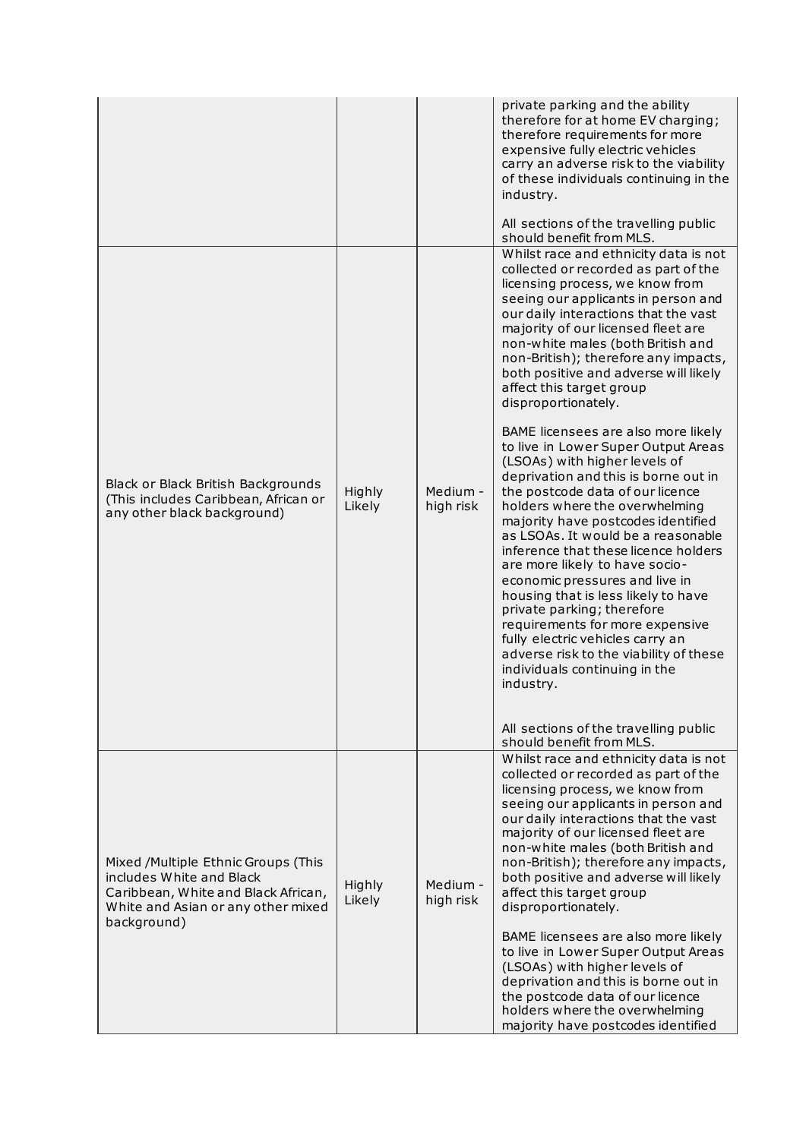|                                                                                                                                                             |                  |                       | private parking and the ability<br>therefore for at home EV charging;<br>therefore requirements for more<br>expensive fully electric vehicles<br>carry an adverse risk to the viability<br>of these individuals continuing in the<br>industry.<br>All sections of the travelling public<br>should benefit from MLS.                                                                                                                                                                                                                                                                                                                                                               |
|-------------------------------------------------------------------------------------------------------------------------------------------------------------|------------------|-----------------------|-----------------------------------------------------------------------------------------------------------------------------------------------------------------------------------------------------------------------------------------------------------------------------------------------------------------------------------------------------------------------------------------------------------------------------------------------------------------------------------------------------------------------------------------------------------------------------------------------------------------------------------------------------------------------------------|
|                                                                                                                                                             |                  |                       | Whilst race and ethnicity data is not<br>collected or recorded as part of the<br>licensing process, we know from<br>seeing our applicants in person and<br>our daily interactions that the vast<br>majority of our licensed fleet are<br>non-white males (both British and<br>non-British); therefore any impacts,<br>both positive and adverse will likely<br>affect this target group<br>disproportionately.                                                                                                                                                                                                                                                                    |
| Black or Black British Backgrounds<br>(This includes Caribbean, African or<br>any other black background)                                                   | Highly<br>Likely | Medium -<br>high risk | BAME licensees are also more likely<br>to live in Lower Super Output Areas<br>(LSOAs) with higher levels of<br>deprivation and this is borne out in<br>the postcode data of our licence<br>holders where the overwhelming<br>majority have postcodes identified<br>as LSOAs. It would be a reasonable<br>inference that these licence holders<br>are more likely to have socio-<br>economic pressures and live in<br>housing that is less likely to have<br>private parking; therefore<br>requirements for more expensive<br>fully electric vehicles carry an<br>adverse risk to the viability of these<br>individuals continuing in the<br>industry.                             |
|                                                                                                                                                             |                  |                       | All sections of the travelling public<br>should benefit from MLS.                                                                                                                                                                                                                                                                                                                                                                                                                                                                                                                                                                                                                 |
| Mixed /Multiple Ethnic Groups (This<br>includes White and Black<br>Caribbean, White and Black African,<br>White and Asian or any other mixed<br>background) | Highly<br>Likely | Medium -<br>high risk | Whilst race and ethnicity data is not<br>collected or recorded as part of the<br>licensing process, we know from<br>seeing our applicants in person and<br>our daily interactions that the vast<br>majority of our licensed fleet are<br>non-white males (both British and<br>non-British); therefore any impacts,<br>both positive and adverse will likely<br>affect this target group<br>disproportionately.<br>BAME licensees are also more likely<br>to live in Lower Super Output Areas<br>(LSOAs) with higher levels of<br>deprivation and this is borne out in<br>the postcode data of our licence<br>holders where the overwhelming<br>majority have postcodes identified |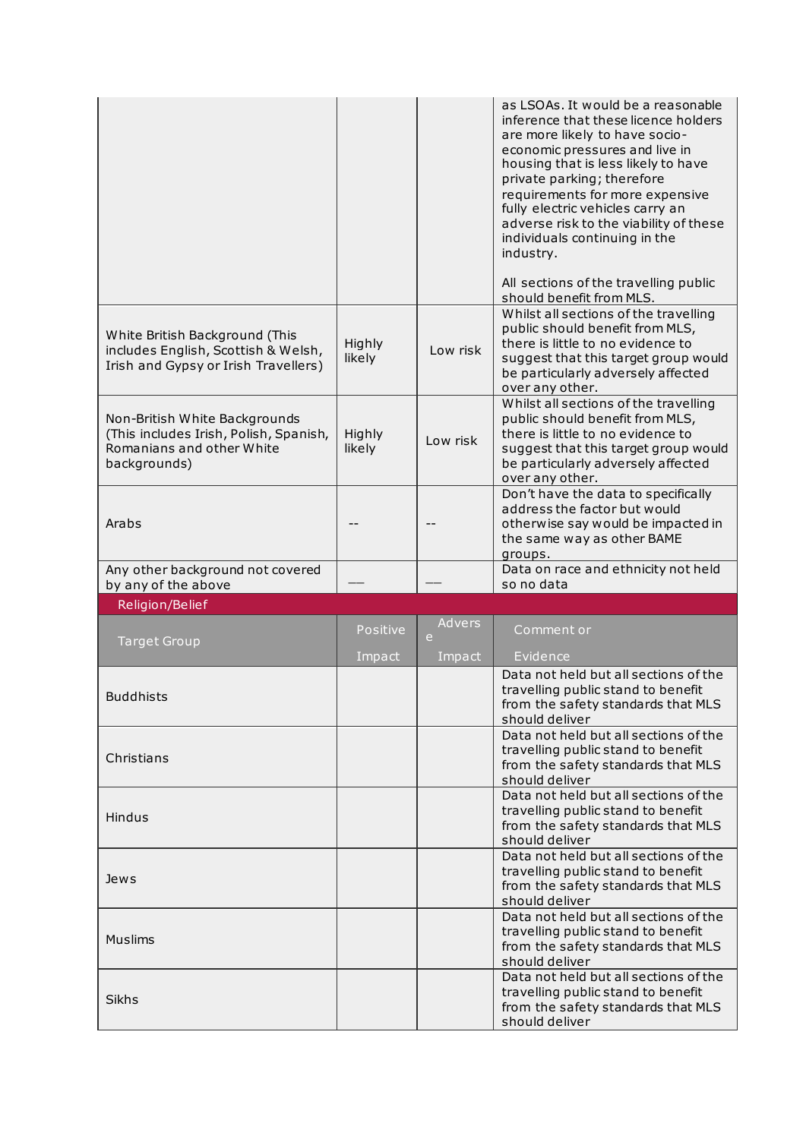|                                                                                                                      |                  |             | as LSOAs. It would be a reasonable<br>inference that these licence holders<br>are more likely to have socio-<br>economic pressures and live in<br>housing that is less likely to have<br>private parking; therefore<br>requirements for more expensive<br>fully electric vehicles carry an<br>adverse risk to the viability of these<br>individuals continuing in the<br>industry. |
|----------------------------------------------------------------------------------------------------------------------|------------------|-------------|------------------------------------------------------------------------------------------------------------------------------------------------------------------------------------------------------------------------------------------------------------------------------------------------------------------------------------------------------------------------------------|
|                                                                                                                      |                  |             | All sections of the travelling public<br>should benefit from MLS.                                                                                                                                                                                                                                                                                                                  |
| White British Background (This<br>includes English, Scottish & Welsh,<br>Irish and Gypsy or Irish Travellers)        | Highly<br>likely | Low risk    | Whilst all sections of the travelling<br>public should benefit from MLS,<br>there is little to no evidence to<br>suggest that this target group would<br>be particularly adversely affected<br>over any other.                                                                                                                                                                     |
| Non-British White Backgrounds<br>(This includes Irish, Polish, Spanish,<br>Romanians and other White<br>backgrounds) | Highly<br>likely | Low risk    | Whilst all sections of the travelling<br>public should benefit from MLS,<br>there is little to no evidence to<br>suggest that this target group would<br>be particularly adversely affected<br>over any other.                                                                                                                                                                     |
| Arabs                                                                                                                |                  |             | Don't have the data to specifically<br>address the factor but would<br>otherwise say would be impacted in<br>the same way as other BAME<br>groups.                                                                                                                                                                                                                                 |
| Any other background not covered                                                                                     |                  |             | Data on race and ethnicity not held                                                                                                                                                                                                                                                                                                                                                |
|                                                                                                                      |                  |             | so no data                                                                                                                                                                                                                                                                                                                                                                         |
| by any of the above<br>Religion/Belief                                                                               |                  |             |                                                                                                                                                                                                                                                                                                                                                                                    |
|                                                                                                                      | Positive         | Advers<br>e | Comment or                                                                                                                                                                                                                                                                                                                                                                         |
| <b>Target Group</b>                                                                                                  | Impact           | Impact      | Evidence                                                                                                                                                                                                                                                                                                                                                                           |
| <b>Buddhists</b>                                                                                                     |                  |             | Data not held but all sections of the<br>travelling public stand to benefit<br>from the safety standards that MLS<br>should deliver                                                                                                                                                                                                                                                |
| Christians                                                                                                           |                  |             | Data not held but all sections of the<br>travelling public stand to benefit<br>from the safety standards that MLS<br>should deliver                                                                                                                                                                                                                                                |
| Hindus                                                                                                               |                  |             | Data not held but all sections of the<br>travelling public stand to benefit<br>from the safety standards that MLS<br>should deliver                                                                                                                                                                                                                                                |
| Jews                                                                                                                 |                  |             | Data not held but all sections of the<br>travelling public stand to benefit<br>from the safety standards that MLS<br>should deliver                                                                                                                                                                                                                                                |
| <b>Muslims</b>                                                                                                       |                  |             | Data not held but all sections of the<br>travelling public stand to benefit<br>from the safety standards that MLS<br>should deliver<br>Data not held but all sections of the                                                                                                                                                                                                       |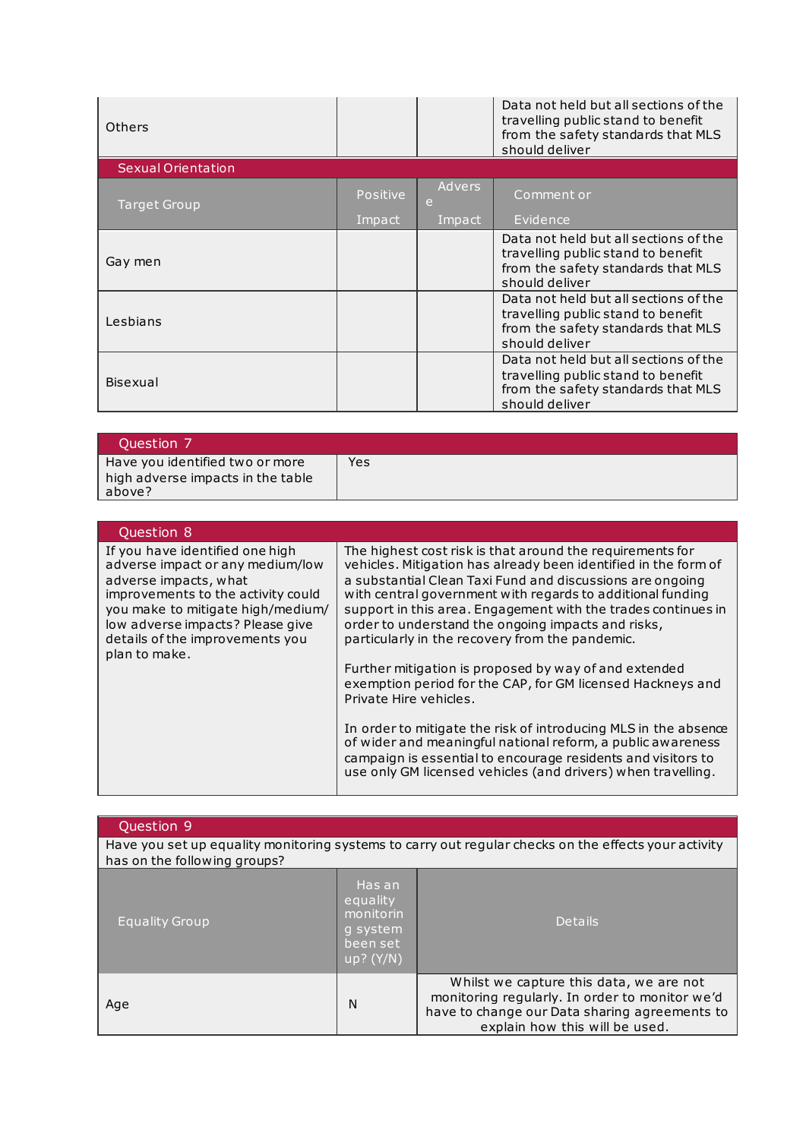| Others                    |                 |             | Data not held but all sections of the<br>travelling public stand to benefit<br>from the safety standards that MLS<br>should deliver |
|---------------------------|-----------------|-------------|-------------------------------------------------------------------------------------------------------------------------------------|
| <b>Sexual Orientation</b> |                 |             |                                                                                                                                     |
| Target Group              | <b>Positive</b> | Advers<br>e | Comment or                                                                                                                          |
|                           | Impact          | Impact      | Evidence                                                                                                                            |
| Gay men                   |                 |             | Data not held but all sections of the<br>travelling public stand to benefit<br>from the safety standards that MLS<br>should deliver |
| Lesbians                  |                 |             | Data not held but all sections of the<br>travelling public stand to benefit<br>from the safety standards that MLS<br>should deliver |
| Bisexual                  |                 |             | Data not held but all sections of the<br>travelling public stand to benefit<br>from the safety standards that MLS<br>should deliver |

| Ouestion 7                                                                     |     |
|--------------------------------------------------------------------------------|-----|
| Have you identified two or more<br>high adverse impacts in the table<br>above? | Yes |

| Question 8                                                                                                                                                                                                                                                      |                                                                                                                                                                                                                                                                                                                                                                                                                                                                                                                                                                                                                                                                                                                                                                                                                                                      |
|-----------------------------------------------------------------------------------------------------------------------------------------------------------------------------------------------------------------------------------------------------------------|------------------------------------------------------------------------------------------------------------------------------------------------------------------------------------------------------------------------------------------------------------------------------------------------------------------------------------------------------------------------------------------------------------------------------------------------------------------------------------------------------------------------------------------------------------------------------------------------------------------------------------------------------------------------------------------------------------------------------------------------------------------------------------------------------------------------------------------------------|
| If you have identified one high<br>adverse impact or any medium/low<br>adverse impacts, what<br>improvements to the activity could<br>you make to mitigate high/medium/<br>low adverse impacts? Please give<br>details of the improvements you<br>plan to make. | The highest cost risk is that around the requirements for<br>vehicles. Mitigation has already been identified in the form of<br>a substantial Clean Taxi Fund and discussions are ongoing<br>with central government with regards to additional funding<br>support in this area. Engagement with the trades continues in<br>order to understand the ongoing impacts and risks,<br>particularly in the recovery from the pandemic.<br>Further mitigation is proposed by way of and extended<br>exemption period for the CAP, for GM licensed Hackneys and<br>Private Hire vehicles.<br>In order to mitigate the risk of introducing MLS in the absence<br>of wider and meaningful national reform, a public awareness<br>campaign is essential to encourage residents and visitors to<br>use only GM licensed vehicles (and drivers) when travelling. |

| Question 9                   |                                                                          |                                                                                                                                                                              |
|------------------------------|--------------------------------------------------------------------------|------------------------------------------------------------------------------------------------------------------------------------------------------------------------------|
| has on the following groups? |                                                                          | Have you set up equality monitoring systems to carry out regular checks on the effects your activity                                                                         |
| <b>Equality Group</b>        | 'Has an.<br>equality<br>monitorin<br>q system<br>been set<br>$up?$ (Y/N) | <b>Details</b>                                                                                                                                                               |
| Age                          | N                                                                        | Whilst we capture this data, we are not<br>monitoring regularly. In order to monitor we'd<br>have to change our Data sharing agreements to<br>explain how this will be used. |